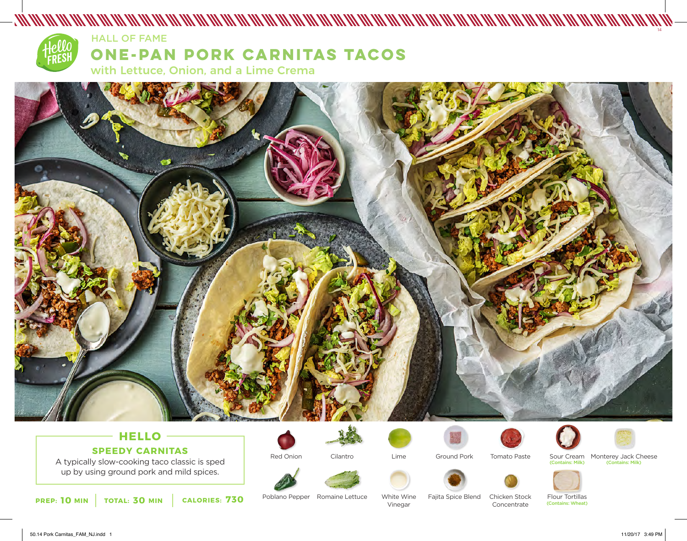

### HALL OF FAME

# **ONE-PAN PORK CARNITAS TACOS**

with Lettuce, Onion, and a Lime Crema



# **HELLO SPEEDY CARNITAS**

A typically slow-cooking taco classic is sped up by using ground pork and mild spices.



Red Onion









Tomato Paste



Sour Cream Monterey Jack Cheese<br>
Contains: Milk) (Contains: Milk) (Contains: Milk) (Contains: Milk)



Poblano Pepper Romaine Lettuce

White Wine Vinegar

Fajita Spice Blend Chicken Stock Concentrate

Flour Tortillas (Contains: Wheat)



14